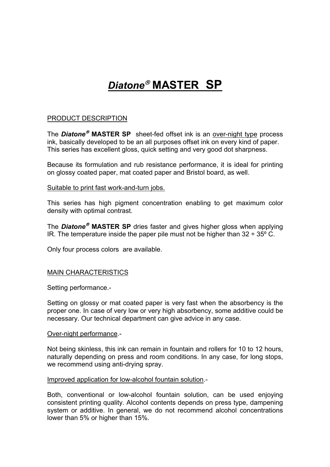# *Diatone* **MASTER SP**

# PRODUCT DESCRIPTION

The *Diatone* **MASTER SP** sheet-fed offset ink is an over-night type process ink, basically developed to be an all purposes offset ink on every kind of paper. This series has excellent gloss, quick setting and very good dot sharpness.

Because its formulation and rub resistance performance, it is ideal for printing on glossy coated paper, mat coated paper and Bristol board, as well.

#### Suitable to print fast work-and-turn jobs.

This series has high pigment concentration enabling to get maximum color density with optimal contrast.

The *Diatone* **MASTER SP** dries faster and gives higher gloss when applying IR. The temperature inside the paper pile must not be higher than  $32 \div 35^\circ$  C.

Only four process colors are available.

# MAIN CHARACTERISTICS

Setting performance.-

Setting on glossy or mat coated paper is very fast when the absorbency is the proper one. In case of very low or very high absorbency, some additive could be necessary. Our technical department can give advice in any case.

#### Over-night performance.-

Not being skinless, this ink can remain in fountain and rollers for 10 to 12 hours, naturally depending on press and room conditions. In any case, for long stops, we recommend using anti-drying spray.

#### Improved application for low-alcohol fountain solution.-

Both, conventional or low-alcohol fountain solution, can be used enjoying consistent printing quality. Alcohol contents depends on press type, dampening system or additive. In general, we do not recommend alcohol concentrations lower than 5% or higher than 15%.